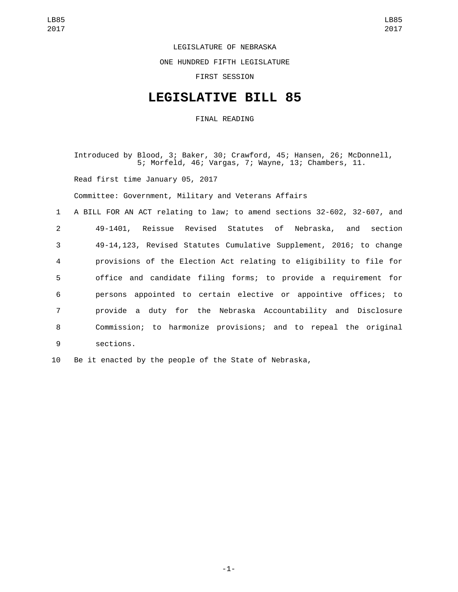## LEGISLATURE OF NEBRASKA

ONE HUNDRED FIFTH LEGISLATURE

FIRST SESSION

## **LEGISLATIVE BILL 85**

FINAL READING

Introduced by Blood, 3; Baker, 30; Crawford, 45; Hansen, 26; McDonnell, 5; Morfeld, 46; Vargas, 7; Wayne, 13; Chambers, 11. Read first time January 05, 2017 Committee: Government, Military and Veterans Affairs 1 A BILL FOR AN ACT relating to law; to amend sections 32-602, 32-607, and 2 49-1401, Reissue Revised Statutes of Nebraska, and section 3 49-14,123, Revised Statutes Cumulative Supplement, 2016; to change

 provisions of the Election Act relating to eligibility to file for office and candidate filing forms; to provide a requirement for persons appointed to certain elective or appointive offices; to provide a duty for the Nebraska Accountability and Disclosure Commission; to harmonize provisions; and to repeal the original 9 sections.

10 Be it enacted by the people of the State of Nebraska,

-1-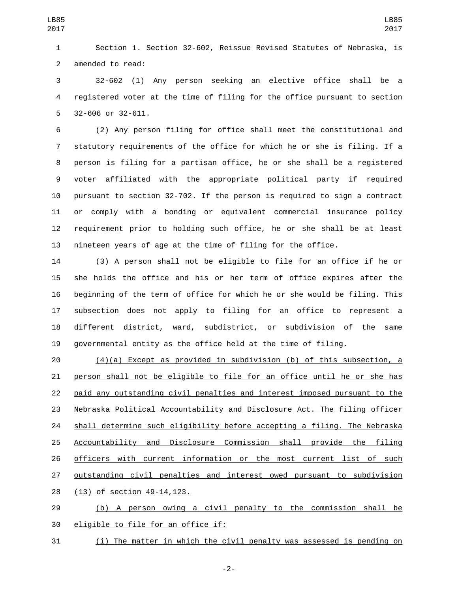Section 1. Section 32-602, Reissue Revised Statutes of Nebraska, is 2 amended to read:

 32-602 (1) Any person seeking an elective office shall be a registered voter at the time of filing for the office pursuant to section 5 32-606 or 32-611.

 (2) Any person filing for office shall meet the constitutional and statutory requirements of the office for which he or she is filing. If a person is filing for a partisan office, he or she shall be a registered voter affiliated with the appropriate political party if required pursuant to section 32-702. If the person is required to sign a contract or comply with a bonding or equivalent commercial insurance policy requirement prior to holding such office, he or she shall be at least nineteen years of age at the time of filing for the office.

 (3) A person shall not be eligible to file for an office if he or she holds the office and his or her term of office expires after the beginning of the term of office for which he or she would be filing. This subsection does not apply to filing for an office to represent a different district, ward, subdistrict, or subdivision of the same governmental entity as the office held at the time of filing.

 (4)(a) Except as provided in subdivision (b) of this subsection, a person shall not be eligible to file for an office until he or she has paid any outstanding civil penalties and interest imposed pursuant to the Nebraska Political Accountability and Disclosure Act. The filing officer shall determine such eligibility before accepting a filing. The Nebraska 25 Accountability and Disclosure Commission shall provide the filing officers with current information or the most current list of such outstanding civil penalties and interest owed pursuant to subdivision 28 (13) of section 49-14,123.

 (b) A person owing a civil penalty to the commission shall be 30 eligible to file for an office if:

(i) The matter in which the civil penalty was assessed is pending on

-2-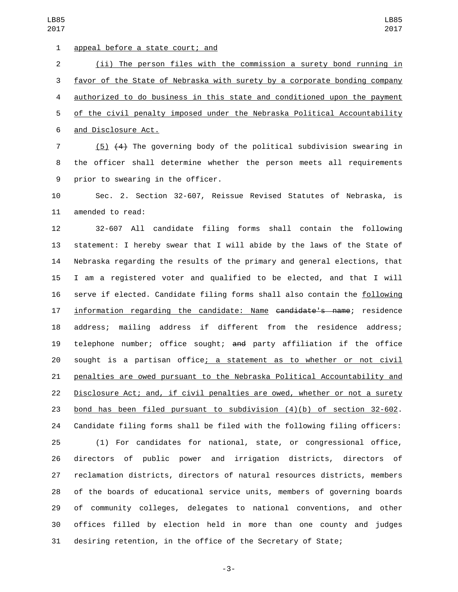1 appeal before a state court; and (ii) The person files with the commission a surety bond running in favor of the State of Nebraska with surety by a corporate bonding company authorized to do business in this state and conditioned upon the payment of the civil penalty imposed under the Nebraska Political Accountability 6 and Disclosure Act.

 (5) (4) The governing body of the political subdivision swearing in the officer shall determine whether the person meets all requirements 9 prior to swearing in the officer.

 Sec. 2. Section 32-607, Reissue Revised Statutes of Nebraska, is 11 amended to read:

 32-607 All candidate filing forms shall contain the following statement: I hereby swear that I will abide by the laws of the State of Nebraska regarding the results of the primary and general elections, that I am a registered voter and qualified to be elected, and that I will serve if elected. Candidate filing forms shall also contain the following 17 information regarding the candidate: Name candidate's name; residence address; mailing address if different from the residence address; telephone number; office sought; and party affiliation if the office sought is a partisan office; a statement as to whether or not civil penalties are owed pursuant to the Nebraska Political Accountability and Disclosure Act; and, if civil penalties are owed, whether or not a surety bond has been filed pursuant to subdivision (4)(b) of section 32-602. Candidate filing forms shall be filed with the following filing officers:

 (1) For candidates for national, state, or congressional office, directors of public power and irrigation districts, directors of reclamation districts, directors of natural resources districts, members of the boards of educational service units, members of governing boards of community colleges, delegates to national conventions, and other offices filled by election held in more than one county and judges desiring retention, in the office of the Secretary of State;

-3-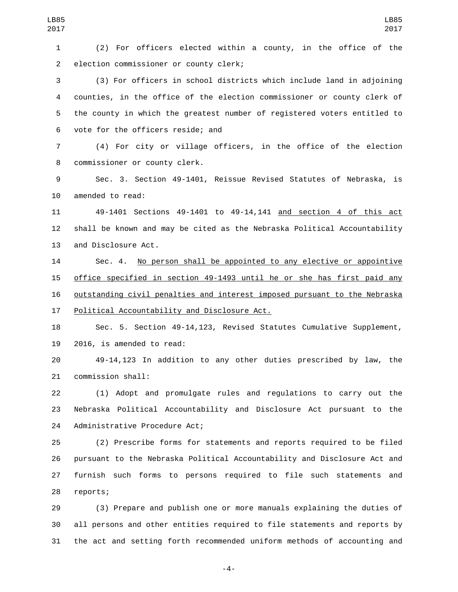LB85 

 (2) For officers elected within a county, in the office of the 2 election commissioner or county clerk;

 (3) For officers in school districts which include land in adjoining counties, in the office of the election commissioner or county clerk of the county in which the greatest number of registered voters entitled to 6 vote for the officers reside; and

 (4) For city or village officers, in the office of the election 8 commissioner or county clerk.

 Sec. 3. Section 49-1401, Reissue Revised Statutes of Nebraska, is 10 amended to read:

 49-1401 Sections 49-1401 to 49-14,141 and section 4 of this act shall be known and may be cited as the Nebraska Political Accountability 13 and Disclosure Act.

14 Sec. 4. No person shall be appointed to any elective or appointive office specified in section 49-1493 until he or she has first paid any outstanding civil penalties and interest imposed pursuant to the Nebraska 17 Political Accountability and Disclosure Act.

 Sec. 5. Section 49-14,123, Revised Statutes Cumulative Supplement, 2016, is amended to read:

 49-14,123 In addition to any other duties prescribed by law, the 21 commission shall:

 (1) Adopt and promulgate rules and regulations to carry out the Nebraska Political Accountability and Disclosure Act pursuant to the 24 Administrative Procedure Act;

 (2) Prescribe forms for statements and reports required to be filed pursuant to the Nebraska Political Accountability and Disclosure Act and furnish such forms to persons required to file such statements and 28 reports;

 (3) Prepare and publish one or more manuals explaining the duties of all persons and other entities required to file statements and reports by the act and setting forth recommended uniform methods of accounting and

-4-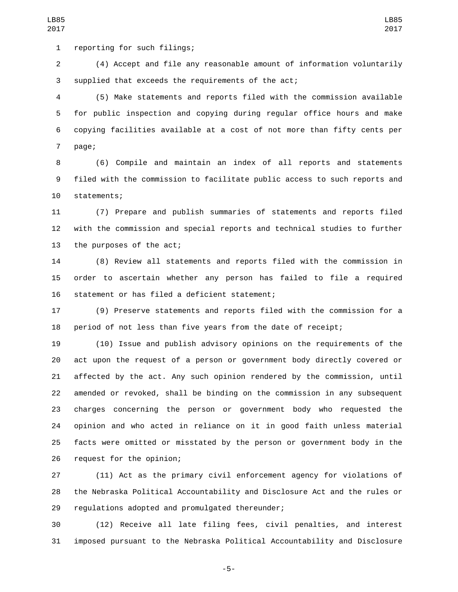1 reporting for such filings;

 (4) Accept and file any reasonable amount of information voluntarily 3 supplied that exceeds the requirements of the act;

 (5) Make statements and reports filed with the commission available for public inspection and copying during regular office hours and make copying facilities available at a cost of not more than fifty cents per 7 page;

 (6) Compile and maintain an index of all reports and statements filed with the commission to facilitate public access to such reports and 10 statements;

 (7) Prepare and publish summaries of statements and reports filed with the commission and special reports and technical studies to further 13 the purposes of the act;

 (8) Review all statements and reports filed with the commission in order to ascertain whether any person has failed to file a required 16 statement or has filed a deficient statement;

 (9) Preserve statements and reports filed with the commission for a period of not less than five years from the date of receipt;

 (10) Issue and publish advisory opinions on the requirements of the act upon the request of a person or government body directly covered or affected by the act. Any such opinion rendered by the commission, until amended or revoked, shall be binding on the commission in any subsequent charges concerning the person or government body who requested the opinion and who acted in reliance on it in good faith unless material facts were omitted or misstated by the person or government body in the 26 request for the opinion;

 (11) Act as the primary civil enforcement agency for violations of the Nebraska Political Accountability and Disclosure Act and the rules or 29 regulations adopted and promulgated thereunder;

 (12) Receive all late filing fees, civil penalties, and interest imposed pursuant to the Nebraska Political Accountability and Disclosure

-5-